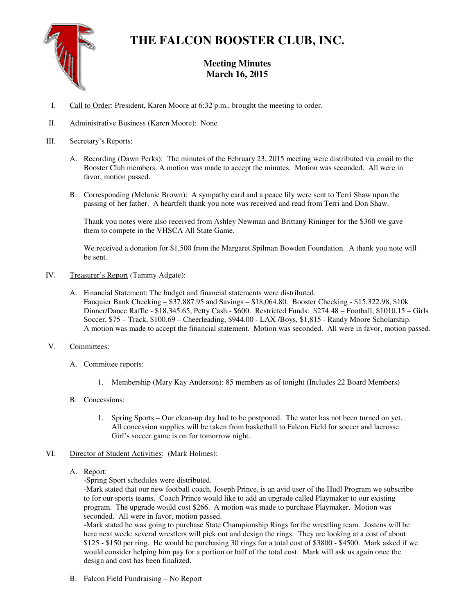

# **THE FALCON BOOSTER CLUB, INC.**

## **Meeting Minutes March 16, 2015**

- I. Call to Order: President, Karen Moore at 6:32 p.m., brought the meeting to order.
- II. Administrative Business (Karen Moore): None

### III. Secretary's Reports:

- A. Recording (Dawn Perks): The minutes of the February 23, 2015 meeting were distributed via email to the Booster Club members. A motion was made to accept the minutes. Motion was seconded. All were in favor, motion passed.
- B. Corresponding (Melanie Brown): A sympathy card and a peace lily were sent to Terri Shaw upon the passing of her father. A heartfelt thank you note was received and read from Terri and Don Shaw.

Thank you notes were also received from Ashley Newman and Brittany Rininger for the \$360 we gave them to compete in the VHSCA All State Game.

We received a donation for \$1,500 from the Margaret Spilman Bowden Foundation. A thank you note will be sent.

- IV. Treasurer's Report (Tammy Adgate):
	- A. Financial Statement: The budget and financial statements were distributed. Fauquier Bank Checking – \$37,887.95 and Savings – \$18,064.80. Booster Checking - \$15,322.98, \$10k Dinner/Dance Raffle - \$18,345.65, Petty Cash - \$600. Restricted Funds: \$274.48 – Football, \$1010.15 – Girls Soccer, \$75 – Track, \$100.69 – Cheerleading, \$944.00 - LAX /Boys, \$1,815 - Randy Moore Scholarship. A motion was made to accept the financial statement. Motion was seconded. All were in favor, motion passed.
- V. Committees:
	- A. Committee reports:
		- 1. Membership (Mary Kay Anderson): 85 members as of tonight (Includes 22 Board Members)
	- B. Concessions:
		- 1. Spring Sports Our clean-up day had to be postponed. The water has not been turned on yet. All concession supplies will be taken from basketball to Falcon Field for soccer and lacrosse. Girl's soccer game is on for tomorrow night.
- VI. Director of Student Activities: (Mark Holmes):
	- A. Report:

-Spring Sport schedules were distributed.

-Mark stated that our new football coach, Joseph Prince, is an avid user of the Hudl Program we subscribe to for our sports teams. Coach Prince would like to add an upgrade called Playmaker to our existing program. The upgrade would cost \$266. A motion was made to purchase Playmaker. Motion was seconded. All were in favor, motion passed.

-Mark stated he was going to purchase State Championship Rings for the wrestling team. Jostens will be here next week; several wrestlers will pick out and design the rings. They are looking at a cost of about \$125 - \$150 per ring. He would be purchasing 30 rings for a total cost of \$3800 - \$4500. Mark asked if we would consider helping him pay for a portion or half of the total cost. Mark will ask us again once the design and cost has been finalized.

B. Falcon Field Fundraising – No Report